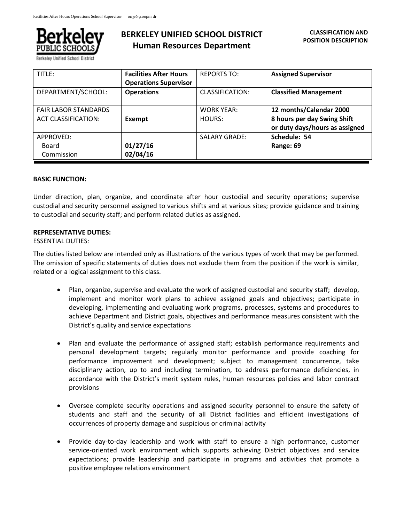

Berkeley Unified School District

# **BERKELEY UNIFIED SCHOOL DISTRICT Human Resources Department**

| TITLE:                      | <b>Facilities After Hours</b> | <b>REPORTS TO:</b>     | <b>Assigned Supervisor</b>     |
|-----------------------------|-------------------------------|------------------------|--------------------------------|
|                             | <b>Operations Supervisor</b>  |                        |                                |
| DEPARTMENT/SCHOOL:          | <b>Operations</b>             | <b>CLASSIFICATION:</b> | <b>Classified Management</b>   |
|                             |                               |                        |                                |
| <b>FAIR LABOR STANDARDS</b> |                               | <b>WORK YEAR:</b>      | 12 months/Calendar 2000        |
| <b>ACT CLASSIFICATION:</b>  | Exempt                        | HOURS:                 | 8 hours per day Swing Shift    |
|                             |                               |                        | or duty days/hours as assigned |
| APPROVED:                   |                               | <b>SALARY GRADE:</b>   | Schedule: 54                   |
| Board                       | 01/27/16                      |                        | Range: 69                      |
| Commission                  | 02/04/16                      |                        |                                |

### **BASIC FUNCTION:**

Under direction, plan, organize, and coordinate after hour custodial and security operations; supervise custodial and security personnel assigned to various shifts and at various sites; provide guidance and training to custodial and security staff; and perform related duties as assigned.

#### **REPRESENTATIVE DUTIES:**

#### ESSENTIAL DUTIES:

The duties listed below are intended only as illustrations of the various types of work that may be performed. The omission of specific statements of duties does not exclude them from the position if the work is similar, related or a logical assignment to this class.

- Plan, organize, supervise and evaluate the work of assigned custodial and security staff; develop, implement and monitor work plans to achieve assigned goals and objectives; participate in developing, implementing and evaluating work programs, processes, systems and procedures to achieve Department and District goals, objectives and performance measures consistent with the District's quality and service expectations
- Plan and evaluate the performance of assigned staff; establish performance requirements and personal development targets; regularly monitor performance and provide coaching for performance improvement and development; subject to management concurrence, take disciplinary action, up to and including termination, to address performance deficiencies, in accordance with the District's merit system rules, human resources policies and labor contract provisions
- Oversee complete security operations and assigned security personnel to ensure the safety of students and staff and the security of all District facilities and efficient investigations of occurrences of property damage and suspicious or criminal activity
- Provide day-to-day leadership and work with staff to ensure a high performance, customer service-oriented work environment which supports achieving District objectives and service expectations; provide leadership and participate in programs and activities that promote a positive employee relations environment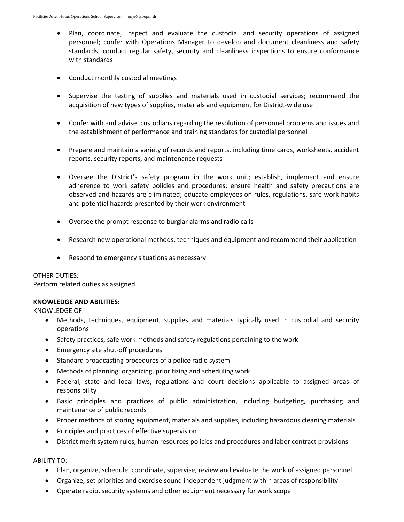- Plan, coordinate, inspect and evaluate the custodial and security operations of assigned personnel; confer with Operations Manager to develop and document cleanliness and safety standards; conduct regular safety, security and cleanliness inspections to ensure conformance with standards
- Conduct monthly custodial meetings
- Supervise the testing of supplies and materials used in custodial services; recommend the acquisition of new types of supplies, materials and equipment for District-wide use
- Confer with and advise custodians regarding the resolution of personnel problems and issues and the establishment of performance and training standards for custodial personnel
- Prepare and maintain a variety of records and reports, including time cards, worksheets, accident reports, security reports, and maintenance requests
- Oversee the District's safety program in the work unit; establish, implement and ensure adherence to work safety policies and procedures; ensure health and safety precautions are observed and hazards are eliminated; educate employees on rules, regulations, safe work habits and potential hazards presented by their work environment
- Oversee the prompt response to burglar alarms and radio calls
- Research new operational methods, techniques and equipment and recommend their application
- Respond to emergency situations as necessary

#### OTHER DUTIES:

Perform related duties as assigned

### **KNOWLEDGE AND ABILITIES:**

KNOWLEDGE OF:

- Methods, techniques, equipment, supplies and materials typically used in custodial and security operations
- Safety practices, safe work methods and safety regulations pertaining to the work
- Emergency site shut-off procedures
- Standard broadcasting procedures of a police radio system
- Methods of planning, organizing, prioritizing and scheduling work
- Federal, state and local laws, regulations and court decisions applicable to assigned areas of responsibility
- Basic principles and practices of public administration, including budgeting, purchasing and maintenance of public records
- Proper methods of storing equipment, materials and supplies, including hazardous cleaning materials
- Principles and practices of effective supervision
- District merit system rules, human resources policies and procedures and labor contract provisions

### ABILITY TO:

- Plan, organize, schedule, coordinate, supervise, review and evaluate the work of assigned personnel
- Organize, set priorities and exercise sound independent judgment within areas of responsibility
- Operate radio, security systems and other equipment necessary for work scope